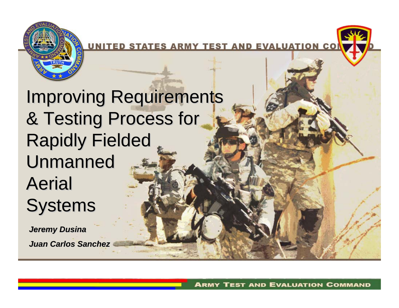

UNITED STATES ARMY TEST AND EVALUATION CON

#### **Improving Requirements** & Testing Process for **Rapidly Fielded Unmanned** Aerial **Systems**

*Jeremy Dusina Jeremy Dusina Juan Carlos Sanchez Juan Carlos Sanchez*

**ARMY TEST AND EVALUATION COMMAND**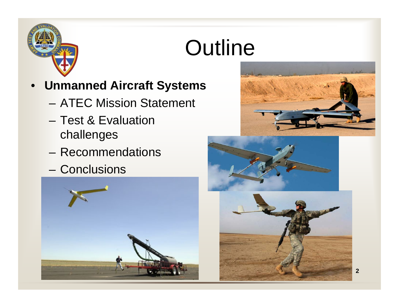

#### **Outline**

- **Unmanned Aircraft Systems**
	- ATEC Mission Statement
	- Test & Evaluation challenges
	- Recommendations
	- Conclusions







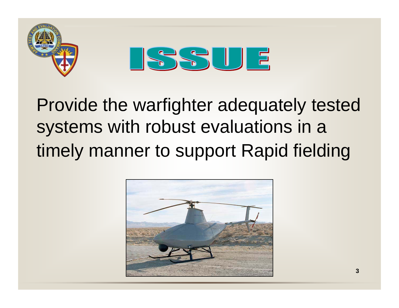



Provide the warfighter adequately tested systems with robust evaluations in a timely manner to support Rapid fielding

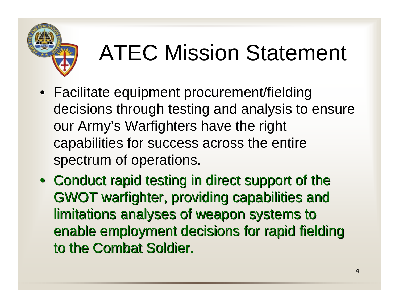

# ATEC Mission Statement

- Facilitate equipment procurement/fielding decisions through testing and analysis to ensure our Army's Warfighters have the right capabilities for success across the entire spectrum of operations.
- Conduct rapid testing in direct support of the GWOT warfighter, providing capabilities and GWOT warfighter, providing capabilities and limitations analyses of weapon systems to limitations analyses of weapon systems to enable employment decisions for rapid fielding to the Combat Soldier.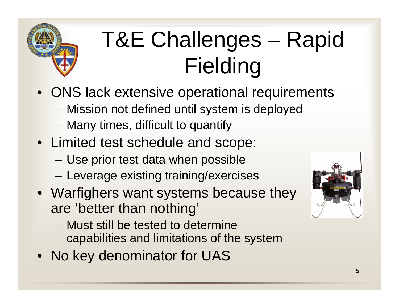

## T&E Challenges – Rapid Fielding

- ONS lack extensive operational requirements
	- –Mission not defined until system is deployed
	- –Many times, difficult to quantify
- Limited test schedule and scope:
	- –Use prior test data when possible
	- –Leverage existing training/exercises
- Warfighers want systems because they are 'better than nothing'
	- Must still be tested to determine capabilities and limitations of the system
- No key denominator for UAS

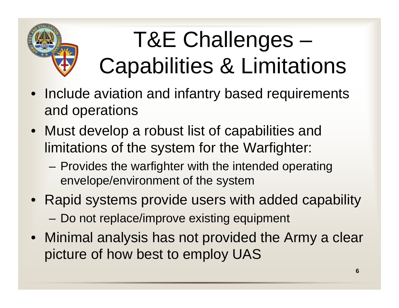

## T&E Challenges – Capabilities & Limitations

- Include aviation and infantry based requirements and operations
- Must develop a robust list of capabilities and limitations of the system for the Warfighter:
	- – Provides the warfighter with the intended operating envelope/environment of the system
- Rapid systems provide users with added capability –Do not replace/improve existing equipment
- Minimal analysis has not provided the Army a clear picture of how best to employ UAS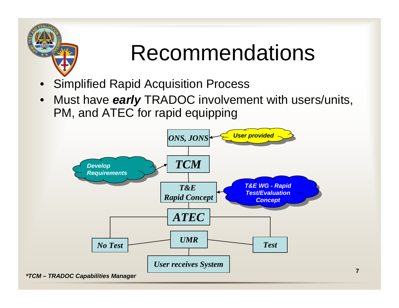

### Recommendations

- •Simplified Rapid Acquisition Process
- $\bullet$  Must have *early* TRADOC involvement with users/units, PM, and ATEC for rapid equipping

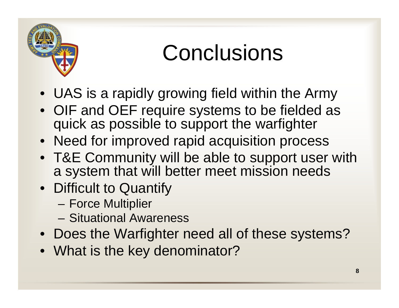

### **Conclusions**

- UAS is a rapidly growing field within the Army
- OIF and OEF require systems to be fielded as quick as possible to support the warfighter
- Need for improved rapid acquisition process
- T&E Community will be able to support user with a system that will better meet mission needs
- Difficult to Quantify
	- –Force Multiplier
	- Situational Awareness
- Does the Warfighter need all of these systems?
- What is the key denominator?